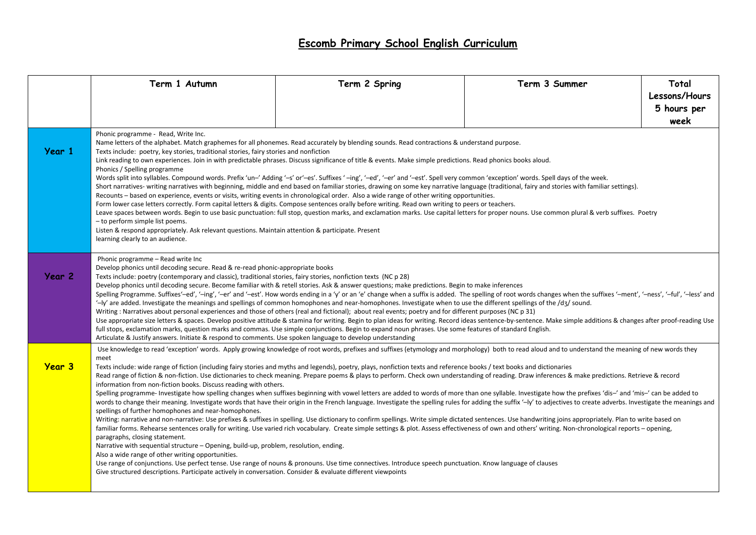## **Escomb Primary School English Curriculum**

|               | Term 1 Autumn                                                                                                                                                                                                                                                                                                                                                                                                                                                                                                                                                                                                                                                                                                                                                                                                                                                                                                                                                                                                                                                                                                                                                                                                                                                                                                                                                                                                                                                                                                                                                                                                                                                                                                                                                                                                                                                                                                                                                                                                                                                 | Term 2 Spring | Term 3 Summer | Total                                |
|---------------|---------------------------------------------------------------------------------------------------------------------------------------------------------------------------------------------------------------------------------------------------------------------------------------------------------------------------------------------------------------------------------------------------------------------------------------------------------------------------------------------------------------------------------------------------------------------------------------------------------------------------------------------------------------------------------------------------------------------------------------------------------------------------------------------------------------------------------------------------------------------------------------------------------------------------------------------------------------------------------------------------------------------------------------------------------------------------------------------------------------------------------------------------------------------------------------------------------------------------------------------------------------------------------------------------------------------------------------------------------------------------------------------------------------------------------------------------------------------------------------------------------------------------------------------------------------------------------------------------------------------------------------------------------------------------------------------------------------------------------------------------------------------------------------------------------------------------------------------------------------------------------------------------------------------------------------------------------------------------------------------------------------------------------------------------------------|---------------|---------------|--------------------------------------|
|               |                                                                                                                                                                                                                                                                                                                                                                                                                                                                                                                                                                                                                                                                                                                                                                                                                                                                                                                                                                                                                                                                                                                                                                                                                                                                                                                                                                                                                                                                                                                                                                                                                                                                                                                                                                                                                                                                                                                                                                                                                                                               |               |               | Lessons/Hours<br>5 hours per<br>week |
| Year 1        | Phonic programme - Read, Write Inc.<br>Name letters of the alphabet. Match graphemes for all phonemes. Read accurately by blending sounds. Read contractions & understand purpose.<br>Texts include: poetry, key stories, traditional stories, fairy stories and nonfiction<br>Link reading to own experiences. Join in with predictable phrases. Discuss significance of title & events. Make simple predictions. Read phonics books aloud.<br>Phonics / Spelling programme<br>Words split into syllables. Compound words. Prefix 'un-' Adding '-s' or'-es'. Suffixes '-ing', '-ed', '-er' and '-est'. Spell very common 'exception' words. Spell days of the week.<br>Short narratives- writing narratives with beginning, middle and end based on familiar stories, drawing on some key narrative language (traditional, fairy and stories with familiar settings).<br>Recounts - based on experience, events or visits, writing events in chronological order. Also a wide range of other writing opportunities.<br>Form lower case letters correctly. Form capital letters & digits. Compose sentences orally before writing. Read own writing to peers or teachers.<br>Leave spaces between words. Begin to use basic punctuation: full stop, question marks, and exclamation marks. Use capital letters for proper nouns. Use common plural & verb suffixes. Poetry<br>- to perform simple list poems.<br>Listen & respond appropriately. Ask relevant questions. Maintain attention & participate. Present<br>learning clearly to an audience.                                                                                                                                                                                                                                                                                                                                                                                                                                                                                                        |               |               |                                      |
| Year 2        | Phonic programme - Read write Inc<br>Develop phonics until decoding secure. Read & re-read phonic-appropriate books<br>Texts include: poetry (contemporary and classic), traditional stories, fairy stories, nonfiction texts (NC p 28)<br>Develop phonics until decoding secure. Become familiar with & retell stories. Ask & answer questions; make predictions. Begin to make inferences<br>Spelling Programme. Suffixes'-ed', '-ing', '-er' and '-est'. How words ending in a 'y' or an 'e' change when a suffix is added. The spelling of root words changes when the suffixes '-ment', '-ness', '-ful', '-less' and<br>$-$ ly' are added. Investigate the meanings and spellings of common homophones and near-homophones. Investigate when to use the different spellings of the $\frac{1}{3}$ sound.<br>Writing: Narratives about personal experiences and those of others (real and fictional); about real events; poetry and for different purposes (NC p 31)<br>Use appropriate size letters & spaces. Develop positive attitude & stamina for writing. Begin to plan ideas for writing. Record ideas sentence-by-sentence. Make simple additions & changes after proof-reading Use<br>full stops, exclamation marks, question marks and commas. Use simple conjunctions. Begin to expand noun phrases. Use some features of standard English.<br>Articulate & Justify answers. Initiate & respond to comments. Use spoken language to develop understanding                                                                                                                                                                                                                                                                                                                                                                                                                                                                                                                                                                                       |               |               |                                      |
| <b>Year 3</b> | Use knowledge to read 'exception' words. Apply growing knowledge of root words, prefixes and suffixes (etymology and morphology) both to read aloud and to understand the meaning of new words they<br>meet<br>Texts include: wide range of fiction (including fairy stories and myths and legends), poetry, plays, nonfiction texts and reference books / text books and dictionaries<br>Read range of fiction & non-fiction. Use dictionaries to check meaning. Prepare poems & plays to perform. Check own understanding of reading. Draw inferences & make predictions. Retrieve & record<br>information from non-fiction books. Discuss reading with others.<br>Spelling programme- Investigate how spelling changes when suffixes beginning with vowel letters are added to words of more than one syllable. Investigate how the prefixes 'dis-' and 'mis-' can be added to<br>words to change their meaning. Investigate words that have their origin in the French language. Investigate the spelling rules for adding the suffix '-Iy' to adjectives to create adverbs. Investigate the meanings and<br>spellings of further homophones and near-homophones.<br>Writing: narrative and non-narrative: Use prefixes & suffixes in spelling. Use dictionary to confirm spellings. Write simple dictated sentences. Use handwriting joins appropriately. Plan to write based on<br>familiar forms. Rehearse sentences orally for writing. Use varied rich vocabulary. Create simple settings & plot. Assess effectiveness of own and others' writing. Non-chronological reports – opening,<br>paragraphs, closing statement.<br>Narrative with sequential structure - Opening, build-up, problem, resolution, ending.<br>Also a wide range of other writing opportunities.<br>Use range of conjunctions. Use perfect tense. Use range of nouns & pronouns. Use time connectives. Introduce speech punctuation. Know language of clauses<br>Give structured descriptions. Participate actively in conversation. Consider & evaluate different viewpoints |               |               |                                      |